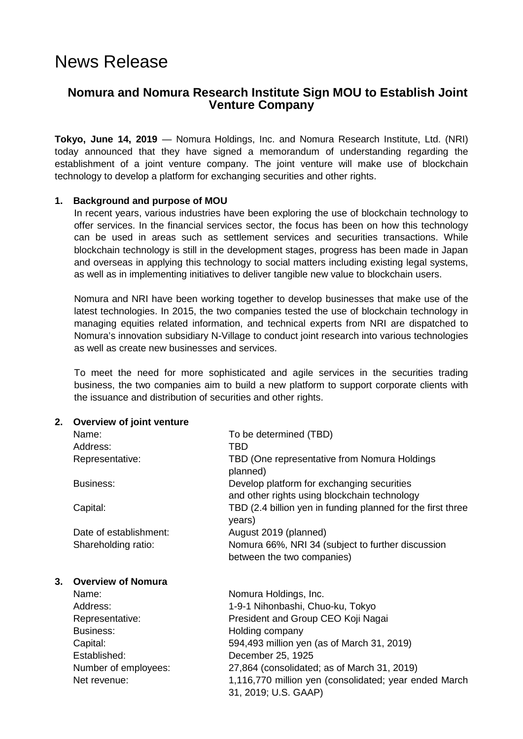# News Release

# **Nomura and Nomura Research Institute Sign MOU to Establish Joint Venture Company**

**Tokyo, June 14, 2019** — Nomura Holdings, Inc. and Nomura Research Institute, Ltd. (NRI) today announced that they have signed a memorandum of understanding regarding the establishment of a joint venture company. The joint venture will make use of blockchain technology to develop a platform for exchanging securities and other rights.

## **1. Background and purpose of MOU**

In recent years, various industries have been exploring the use of blockchain technology to offer services. In the financial services sector, the focus has been on how this technology can be used in areas such as settlement services and securities transactions. While blockchain technology is still in the development stages, progress has been made in Japan and overseas in applying this technology to social matters including existing legal systems, as well as in implementing initiatives to deliver tangible new value to blockchain users.

Nomura and NRI have been working together to develop businesses that make use of the latest technologies. In 2015, the two companies tested the use of blockchain technology in managing equities related information, and technical experts from NRI are dispatched to Nomura's innovation subsidiary N-Village to conduct joint research into various technologies as well as create new businesses and services.

To meet the need for more sophisticated and agile services in the securities trading business, the two companies aim to build a new platform to support corporate clients with the issuance and distribution of securities and other rights.

### **2. Overview of joint venture**

|    | Name:<br>Address:<br>Representative: | To be determined (TBD)<br>TBD<br>TBD (One representative from Nomura Holdings<br>planned)                                    |
|----|--------------------------------------|------------------------------------------------------------------------------------------------------------------------------|
|    | <b>Business:</b>                     | Develop platform for exchanging securities<br>and other rights using blockchain technology                                   |
|    | Capital:                             | TBD (2.4 billion yen in funding planned for the first three<br>years)                                                        |
|    | Date of establishment:               | August 2019 (planned)                                                                                                        |
|    | Shareholding ratio:                  | Nomura 66%, NRI 34 (subject to further discussion<br>between the two companies)                                              |
| 3. | <b>Overview of Nomura</b>            |                                                                                                                              |
|    | Name:                                | Nomura Holdings, Inc.                                                                                                        |
|    | Address:                             | 1-9-1 Nihonbashi, Chuo-ku, Tokyo                                                                                             |
|    | Representative:                      | President and Group CEO Koji Nagai                                                                                           |
|    | Business:                            | Holding company                                                                                                              |
|    | Capital:                             | 594,493 million yen (as of March 31, 2019)                                                                                   |
|    | Established:                         | December 25, 1925                                                                                                            |
|    | Number of employees:<br>Net revenue: | 27,864 (consolidated; as of March 31, 2019)<br>1,116,770 million yen (consolidated; year ended March<br>31, 2019; U.S. GAAP) |